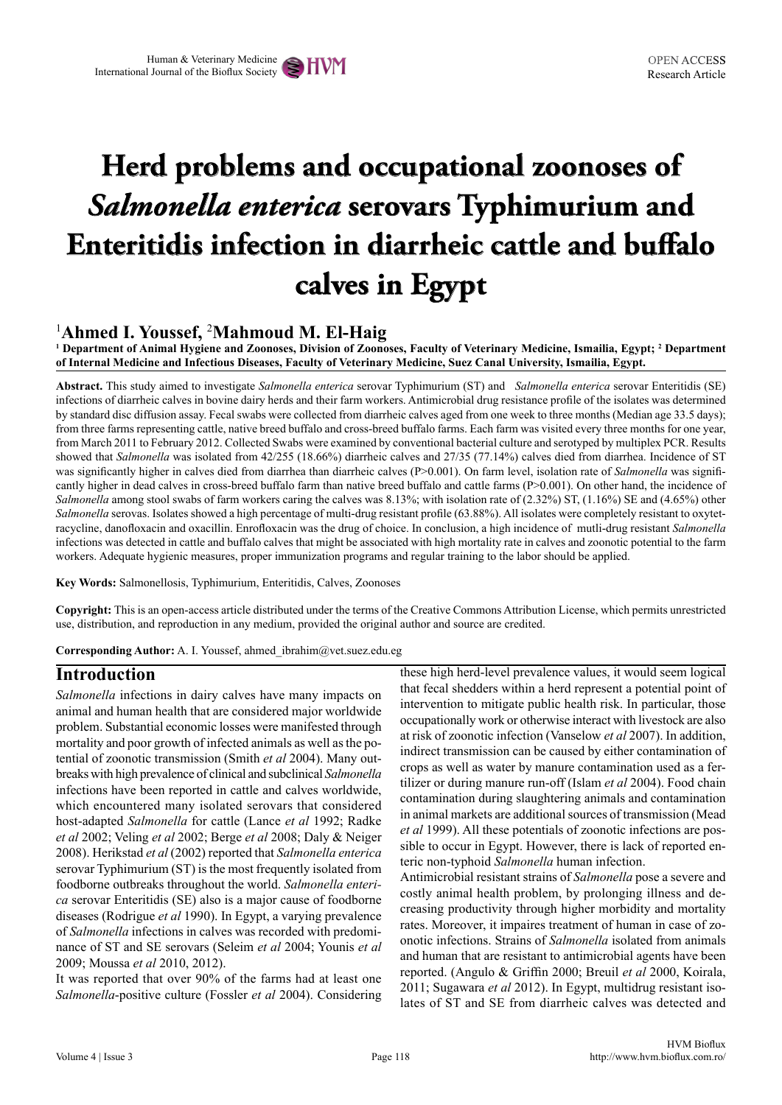# **Herd problems and occupational zoonoses of**  *Salmonella enterica* **serovars Typhimurium and Enteritidis infection in diarrheic cattle and buffalo calves in Egypt**

## 1 **Ahmed I. Youssef,** <sup>2</sup> **Mahmoud M. El-Haig**

**1 Department of Animal Hygiene and Zoonoses, Division of Zoonoses, Faculty of Veterinary Medicine, Ismailia, Egypt; 2 Department of Internal Medicine and Infectious Diseases, Faculty of Veterinary Medicine, Suez Canal University, Ismailia, Egypt.**

**Abstract.** This study aimed to investigate *Salmonella enterica* serovar Typhimurium (ST) and *Salmonella enterica* serovar Enteritidis (SE) infections of diarrheic calves in bovine dairy herds and their farm workers. Antimicrobial drug resistance profile of the isolates was determined by standard disc diffusion assay. Fecal swabs were collected from diarrheic calves aged from one week to three months (Median age 33.5 days); from three farms representing cattle, native breed buffalo and cross-breed buffalo farms. Each farm was visited every three months for one year, from March 2011 to February 2012. Collected Swabs were examined by conventional bacterial culture and serotyped by multiplex PCR. Results showed that *Salmonella* was isolated from 42/255 (18.66%) diarrheic calves and 27/35 (77.14%) calves died from diarrhea. Incidence of ST was significantly higher in calves died from diarrhea than diarrheic calves (P>0.001). On farm level, isolation rate of *Salmonella* was significantly higher in dead calves in cross-breed buffalo farm than native breed buffalo and cattle farms (P>0.001). On other hand, the incidence of *Salmonella* among stool swabs of farm workers caring the calves was 8.13%; with isolation rate of (2.32%) ST, (1.16%) SE and (4.65%) other *Salmonella* serovas. Isolates showed a high percentage of multi-drug resistant profile (63.88%). All isolates were completely resistant to oxytetracycline, danofloxacin and oxacillin. Enrofloxacin was the drug of choice. In conclusion, a high incidence of mutli-drug resistant *Salmonella*  infections was detected in cattle and buffalo calves that might be associated with high mortality rate in calves and zoonotic potential to the farm workers. Adequate hygienic measures, proper immunization programs and regular training to the labor should be applied.

**Key Words:** Salmonellosis, Typhimurium, Enteritidis, Calves, Zoonoses

**Copyright:** This is an open-access article distributed under the terms of the Creative Commons Attribution License, which permits unrestricted use, distribution, and reproduction in any medium, provided the original author and source are credited.

**Corresponding Author:** A. I. Youssef, ahmed\_ibrahim@vet.suez.edu.eg

## **Introduction**

*Salmonella* infections in dairy calves have many impacts on animal and human health that are considered major worldwide problem. Substantial economic losses were manifested through mortality and poor growth of infected animals as well as the potential of zoonotic transmission (Smith *et al* 2004). Many outbreaks with high prevalence of clinical and subclinical *Salmonella* infections have been reported in cattle and calves worldwide, which encountered many isolated serovars that considered host-adapted *Salmonella* for cattle (Lance *et al* 1992; Radke *et al* 2002; Veling *et al* 2002; Berge *et al* 2008; Daly & Neiger 2008). Herikstad *et al* (2002) reported that *Salmonella enterica*  serovar Typhimurium (ST) is the most frequently isolated from foodborne outbreaks throughout the world. *Salmonella enterica* serovar Enteritidis (SE) also is a major cause of foodborne diseases (Rodrigue *et al* 1990). In Egypt, a varying prevalence of *Salmonella* infections in calves was recorded with predominance of ST and SE serovars (Seleim *et al* 2004; Younis *et al*  2009; Moussa *et al* 2010, 2012).

It was reported that over 90% of the farms had at least one *Salmonella*-positive culture (Fossler *et al* 2004). Considering

these high herd-level prevalence values, it would seem logical that fecal shedders within a herd represent a potential point of intervention to mitigate public health risk. In particular, those occupationally work or otherwise interact with livestock are also at risk of zoonotic infection (Vanselow *et al* 2007). In addition, indirect transmission can be caused by either contamination of crops as well as water by manure contamination used as a fertilizer or during manure run-off (Islam *et al* 2004). Food chain contamination during slaughtering animals and contamination in animal markets are additional sources of transmission (Mead *et al* 1999). All these potentials of zoonotic infections are possible to occur in Egypt. However, there is lack of reported enteric non-typhoid *Salmonella* human infection.

Antimicrobial resistant strains of *Salmonella* pose a severe and costly animal health problem, by prolonging illness and decreasing productivity through higher morbidity and mortality rates. Moreover, it impaires treatment of human in case of zoonotic infections. Strains of *Salmonella* isolated from animals and human that are resistant to antimicrobial agents have been reported. (Angulo & Griffin 2000; Breuil *et al* 2000, Koirala, 2011; Sugawara *et al* 2012). In Egypt, multidrug resistant isolates of ST and SE from diarrheic calves was detected and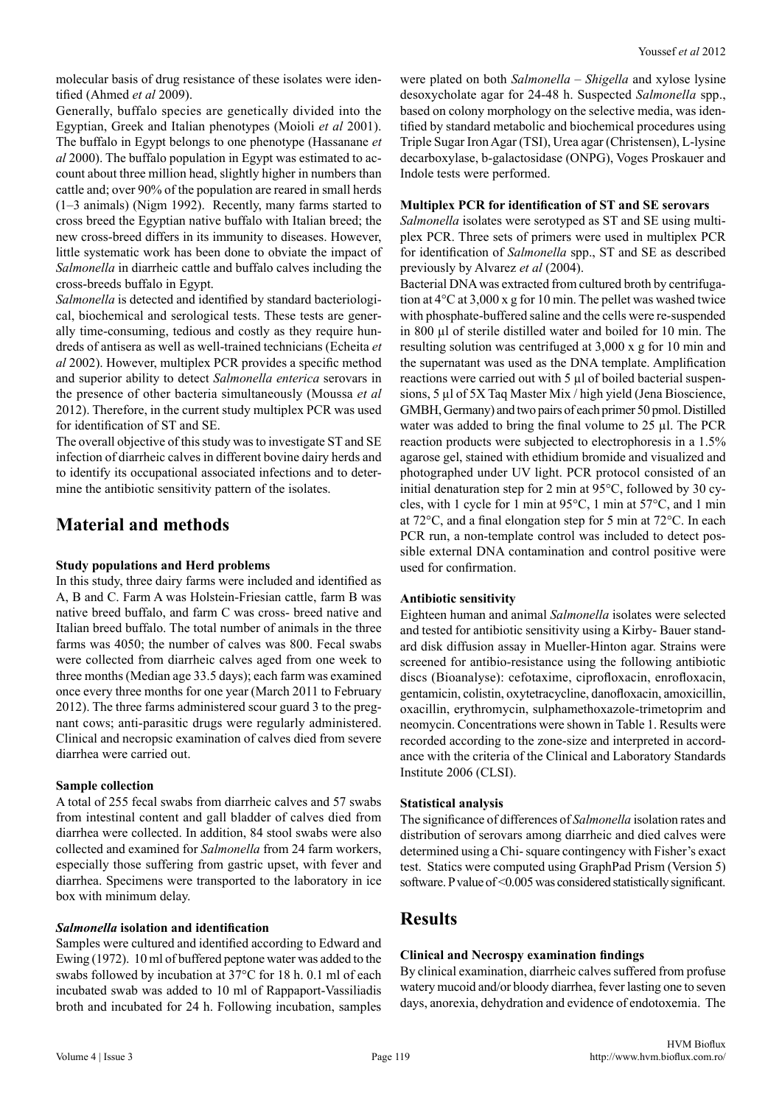molecular basis of drug resistance of these isolates were identified (Ahmed *et al* 2009).

Generally, buffalo species are genetically divided into the Egyptian, Greek and Italian phenotypes (Moioli *et al* 2001). The buffalo in Egypt belongs to one phenotype (Hassanane *et al* 2000). The buffalo population in Egypt was estimated to account about three million head, slightly higher in numbers than cattle and; over 90% of the population are reared in small herds (1–3 animals) (Nigm 1992). Recently, many farms started to cross breed the Egyptian native buffalo with Italian breed; the new cross-breed differs in its immunity to diseases. However, little systematic work has been done to obviate the impact of *Salmonella* in diarrheic cattle and buffalo calves including the cross-breeds buffalo in Egypt.

*Salmonella* is detected and identified by standard bacteriological, biochemical and serological tests. These tests are generally time-consuming, tedious and costly as they require hundreds of antisera as well as well-trained technicians (Echeita *et al* 2002). However, multiplex PCR provides a specific method and superior ability to detect *Salmonella enterica* serovars in the presence of other bacteria simultaneously (Moussa *et al*  2012). Therefore, in the current study multiplex PCR was used for identification of ST and SE.

The overall objective of this study was to investigate ST and SE infection of diarrheic calves in different bovine dairy herds and to identify its occupational associated infections and to determine the antibiotic sensitivity pattern of the isolates.

## **Material and methods**

## **Study populations and Herd problems**

In this study, three dairy farms were included and identified as A, B and C. Farm A was Holstein-Friesian cattle, farm B was native breed buffalo, and farm C was cross- breed native and Italian breed buffalo. The total number of animals in the three farms was 4050; the number of calves was 800. Fecal swabs were collected from diarrheic calves aged from one week to three months (Median age 33.5 days); each farm was examined once every three months for one year (March 2011 to February 2012). The three farms administered scour guard 3 to the pregnant cows; anti-parasitic drugs were regularly administered. Clinical and necropsic examination of calves died from severe diarrhea were carried out.

#### **Sample collection**

A total of 255 fecal swabs from diarrheic calves and 57 swabs from intestinal content and gall bladder of calves died from diarrhea were collected. In addition, 84 stool swabs were also collected and examined for *Salmonella* from 24 farm workers, especially those suffering from gastric upset, with fever and diarrhea. Specimens were transported to the laboratory in ice box with minimum delay.

#### *Salmonella* **isolation and identification**

Samples were cultured and identified according to Edward and Ewing (1972). 10 ml of buffered peptone water was added to the swabs followed by incubation at 37°C for 18 h. 0.1 ml of each incubated swab was added to 10 ml of Rappaport-Vassiliadis broth and incubated for 24 h. Following incubation, samples were plated on both *Salmonella* – *Shigella* and xylose lysine desoxycholate agar for 24-48 h. Suspected *Salmonella* spp., based on colony morphology on the selective media, was identified by standard metabolic and biochemical procedures using Triple Sugar Iron Agar (TSI), Urea agar (Christensen), L-lysine decarboxylase, b-galactosidase (ONPG), Voges Proskauer and Indole tests were performed.

#### **Multiplex PCR for identification of ST and SE serovars**

*Salmonella* isolates were serotyped as ST and SE using multiplex PCR. Three sets of primers were used in multiplex PCR for identification of *Salmonella* spp., ST and SE as described previously by Alvarez *et al* (2004).

Bacterial DNA was extracted from cultured broth by centrifugation at 4°C at 3,000 x g for 10 min. The pellet was washed twice with phosphate-buffered saline and the cells were re-suspended in 800 µl of sterile distilled water and boiled for 10 min. The resulting solution was centrifuged at 3,000 x g for 10 min and the supernatant was used as the DNA template. Amplification reactions were carried out with 5 µl of boiled bacterial suspensions, 5 µl of 5X Taq Master Mix / high yield (Jena Bioscience, GMBH, Germany) and two pairs of each primer 50 pmol. Distilled water was added to bring the final volume to 25 µl. The PCR reaction products were subjected to electrophoresis in a 1.5% agarose gel, stained with ethidium bromide and visualized and photographed under UV light. PCR protocol consisted of an initial denaturation step for 2 min at 95°C, followed by 30 cycles, with 1 cycle for 1 min at 95°C, 1 min at 57°C, and 1 min at 72°C, and a final elongation step for 5 min at 72°C. In each PCR run, a non-template control was included to detect possible external DNA contamination and control positive were used for confirmation.

## **Antibiotic sensitivity**

Eighteen human and animal *Salmonella* isolates were selected and tested for antibiotic sensitivity using a Kirby- Bauer standard disk diffusion assay in Mueller-Hinton agar. Strains were screened for antibio-resistance using the following antibiotic discs (Bioanalyse): cefotaxime, ciprofloxacin, enrofloxacin, gentamicin, colistin, oxytetracycline, danofloxacin, amoxicillin, oxacillin, erythromycin, sulphamethoxazole-trimetoprim and neomycin. Concentrations were shown in Table 1. Results were recorded according to the zone-size and interpreted in accordance with the criteria of the Clinical and Laboratory Standards Institute 2006 (CLSI).

## **Statistical analysis**

The significance of differences of *Salmonella* isolation rates and distribution of serovars among diarrheic and died calves were determined using a Chi- square contingency with Fisher's exact test. Statics were computed using GraphPad Prism (Version 5) software. P value of <0.005 was considered statistically significant.

## **Results**

## **Clinical and Necrospy examination findings**

By clinical examination, diarrheic calves suffered from profuse watery mucoid and/or bloody diarrhea, fever lasting one to seven days, anorexia, dehydration and evidence of endotoxemia. The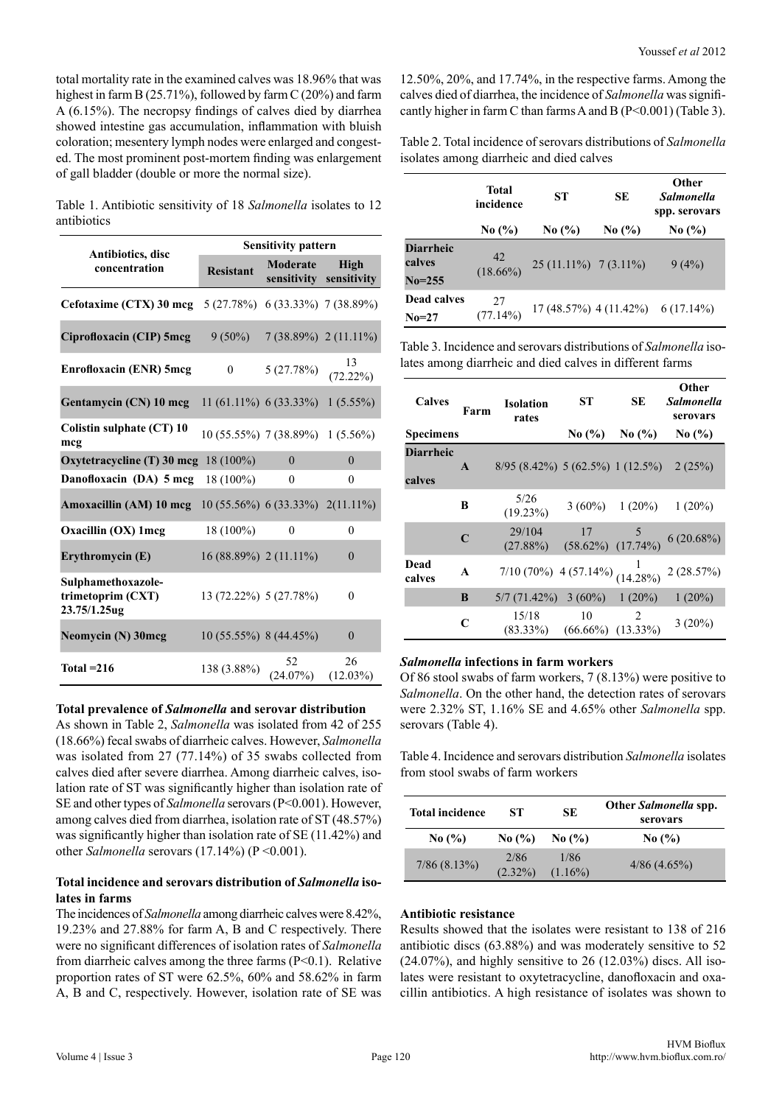total mortality rate in the examined calves was 18.96% that was highest in farm B (25.71%), followed by farm C (20%) and farm A (6.15%). The necropsy findings of calves died by diarrhea showed intestine gas accumulation, inflammation with bluish coloration; mesentery lymph nodes were enlarged and congested. The most prominent post-mortem finding was enlargement of gall bladder (double or more the normal size).

Table 1. Antibiotic sensitivity of 18 *Salmonella* isolates to 12 antibiotics

|                                                          | <b>Sensitivity pattern</b>       |                         |                     |
|----------------------------------------------------------|----------------------------------|-------------------------|---------------------|
| Antibiotics, disc<br>concentration                       | <b>Resistant</b>                 | Moderate<br>sensitivity | High<br>sensitivity |
| Cefotaxime (CTX) 30 mcg 5 (27.78%) 6 (33.33%) 7 (38.89%) |                                  |                         |                     |
| Ciprofloxacin (CIP) 5mcg                                 | $9(50\%)$                        | $7(38.89\%)$ 2 (11.11%) |                     |
| <b>Enrofloxacin (ENR) 5mcg</b>                           | $\theta$                         | 5(27.78%)               | 13<br>$(72.22\%)$   |
| <b>Gentamycin (CN) 10 mcg</b> 11 (61.11%) 6 (33.33%)     |                                  |                         | $1(5.55\%)$         |
| Colistin sulphate (CT) 10<br>mcg                         | 10 (55.55%) 7 (38.89%) 1 (5.56%) |                         |                     |
| Oxytetracycline (T) 30 mcg                               | $18(100\%)$                      | $\theta$                | $\theta$            |
| Danofloxacin (DA) 5 mcg                                  | $18(100\%)$                      | $\boldsymbol{0}$        | $\theta$            |
| Amoxacillin (AM) 10 mcg 10 (55.56%) 6 (33.33%) 2(11.11%) |                                  |                         |                     |
| Oxacillin (OX) 1 mcg                                     | $18(100\%)$                      | 0                       | $\theta$            |
| Erythromycin (E)                                         | 16 (88.89%) 2 (11.11%)           |                         | $\mathbf{0}$        |
| Sulphamethoxazole-<br>trimetoprim (CXT)<br>23.75/1.25ug  | 13 (72.22%) 5 (27.78%)           |                         | $\theta$            |
| Neomycin (N) 30mcg                                       | $10(55.55\%)$ 8 (44.45%)         |                         | $\theta$            |
| Total $=216$                                             | 138 (3.88%)                      | 52<br>$(24.07\%)$       | 26<br>$(12.03\%)$   |

#### **Total prevalence of** *Salmonella* **and serovar distribution**

As shown in Table 2, *Salmonella* was isolated from 42 of 255 (18.66%) fecal swabs of diarrheic calves. However, *Salmonella* was isolated from 27 (77.14%) of 35 swabs collected from calves died after severe diarrhea. Among diarrheic calves, isolation rate of ST was significantly higher than isolation rate of SE and other types of *Salmonella* serovars (P<0.001). However, among calves died from diarrhea, isolation rate of ST (48.57%) was significantly higher than isolation rate of SE (11.42%) and other *Salmonella* serovars (17.14%) (P < 0.001).

#### **Total incidence and serovars distribution of** *Salmonella* **isolates in farms**

The incidences of *Salmonella* among diarrheic calves were 8.42%, 19.23% and 27.88% for farm A, B and C respectively. There were no significant differences of isolation rates of *Salmonella* from diarrheic calves among the three farms (P<0.1). Relative proportion rates of ST were 62.5%, 60% and 58.62% in farm A, B and C, respectively. However, isolation rate of SE was

12.50%, 20%, and 17.74%, in the respective farms. Among the calves died of diarrhea, the incidence of *Salmonella* was significantly higher in farm C than farms A and B (P<0.001) (Table 3).

Table 2. Total incidence of serovars distributions of *Salmonella* isolates among diarrheic and died calves

|                            | Total<br>incidence | ST                      | SE         | Other<br><b>Salmonella</b><br>spp. serovars |
|----------------------------|--------------------|-------------------------|------------|---------------------------------------------|
|                            | No $(\% )$         | No $(\% )$              | No $(\% )$ | No $(\% )$                                  |
| <b>Diarrheic</b><br>calves | 42<br>$(18.66\%)$  | $25(11.11\%)$ 7 (3.11%) |            | 9(4%)                                       |
| $No = 255$                 |                    |                         |            |                                             |
| <b>Dead calves</b>         | 27                 |                         |            |                                             |
| $No=27$                    | (77.14%)           | 17 (48.57%) 4 (11.42%)  |            | $6(17.14\%)$                                |

Table 3. Incidence and serovars distributions of *Salmonella* isolates among diarrheic and died calves in different farms

| <b>Calves</b>              | Farm         | <b>Isolation</b><br>rates                   | SТ                                                                    | SE         | Other<br>Salmonella<br>serovars |
|----------------------------|--------------|---------------------------------------------|-----------------------------------------------------------------------|------------|---------------------------------|
| <b>Specimens</b>           |              |                                             | No $(\% )$                                                            | No $(\% )$ | No $(\% )$                      |
| <b>Diarrheic</b><br>calves | A            | $8/95$ $(8.42\%)$ 5 $(62.5\%)$ 1 $(12.5\%)$ |                                                                       |            | 2(25%)                          |
|                            | В            | 5/26<br>(19.23%)                            | $3(60\%)$                                                             | $1(20\%)$  | $1(20\%)$                       |
|                            | $\mathsf{C}$ | 29/104<br>$(27.88\%)$                       | 17<br>$\begin{array}{cc} 17 & 5 \\ (58.62\%) & (17.74\%) \end{array}$ |            | 6(20.68%)                       |
| Dead<br>calves             | A            | 7/10 (70%) 4 (57.14%) $\frac{1}{(14.28\%)}$ |                                                                       |            | 2(28.57%)                       |
|                            | B            | 5/7(71.42%)                                 | $3(60\%)$                                                             | $1(20\%)$  | 1(20%)                          |
|                            | C            | 15/18                                       | 10<br>$(83.33\%)$ $(66.66\%)$ $(13.33\%)$                             | 2          | 3(20%)                          |

#### *Salmonella* **infections in farm workers**

Of 86 stool swabs of farm workers, 7 (8.13%) were positive to *Salmonella*. On the other hand, the detection rates of serovars were 2.32% ST, 1.16% SE and 4.65% other *Salmonella* spp. serovars (Table 4).

Table 4. Incidence and serovars distribution *Salmonella* isolates from stool swabs of farm workers

| <b>Total incidence</b> | SТ                            | <b>SE</b>                     | Other Salmonella spp.<br>serovars |
|------------------------|-------------------------------|-------------------------------|-----------------------------------|
| No $(\% )$             | No $\left(\frac{9}{6}\right)$ | No $\left(\frac{9}{6}\right)$ | No $\left(\frac{9}{6}\right)$     |
| $7/86$ (8.13%)         | 2/86<br>$(2.32\%)$            | 1/86<br>$(1.16\%)$            | $4/86$ (4.65%)                    |

#### **Antibiotic resistance**

Results showed that the isolates were resistant to 138 of 216 antibiotic discs (63.88%) and was moderately sensitive to 52  $(24.07\%)$ , and highly sensitive to 26  $(12.03\%)$  discs. All isolates were resistant to oxytetracycline, danofloxacin and oxacillin antibiotics. A high resistance of isolates was shown to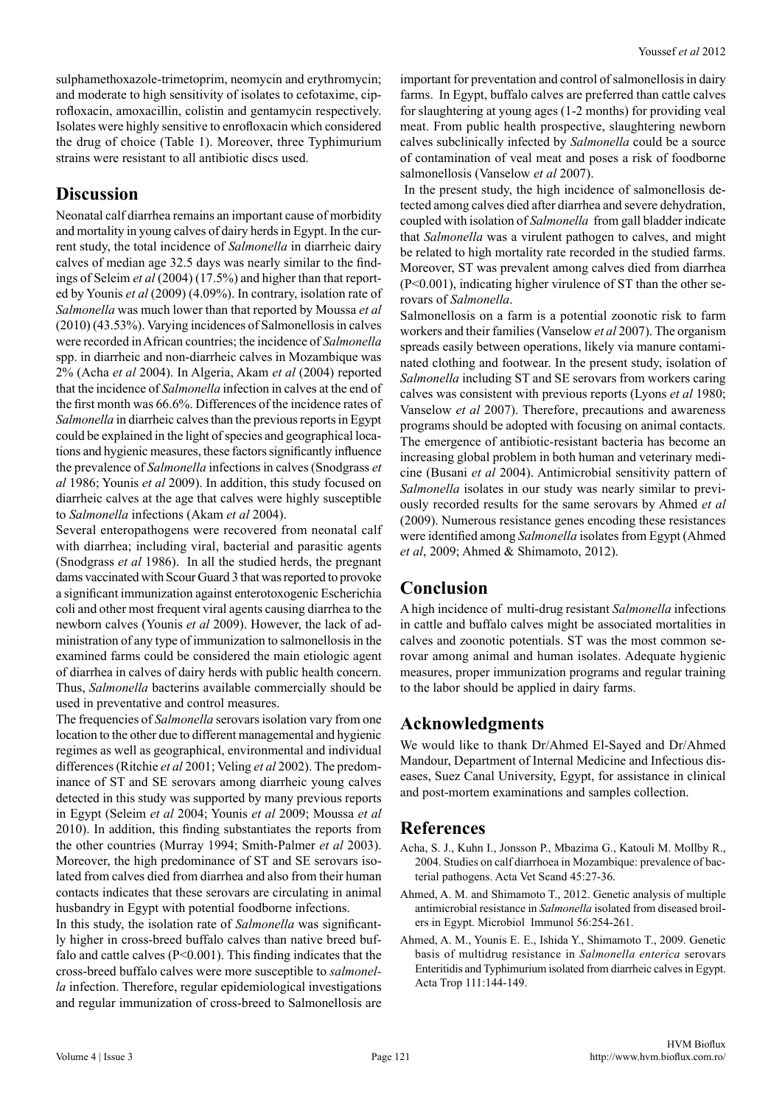sulphamethoxazole-trimetoprim, neomycin and erythromycin; and moderate to high sensitivity of isolates to cefotaxime, ciprofloxacin, amoxacillin, colistin and gentamycin respectively. Isolates were highly sensitive to enrofloxacin which considered the drug of choice (Table 1). Moreover, three Typhimurium strains were resistant to all antibiotic discs used.

## **Discussion**

Neonatal calf diarrhea remains an important cause of morbidity and mortality in young calves of dairy herds in Egypt. In the current study, the total incidence of *Salmonella* in diarrheic dairy calves of median age 32.5 days was nearly similar to the findings of Seleim *et al* (2004) (17.5%) and higher than that reported by Younis *et al* (2009) (4.09%). In contrary, isolation rate of *Salmonella* was much lower than that reported by Moussa *et al*  (2010) (43.53%). Varying incidences of Salmonellosis in calves were recorded in African countries; the incidence of *Salmonella* spp. in diarrheic and non-diarrheic calves in Mozambique was 2% (Acha *et al* 2004). In Algeria, Akam *et al* (2004) reported that the incidence of *Salmonella* infection in calves at the end of the first month was 66.6%. Differences of the incidence rates of *Salmonella* in diarrheic calves than the previous reports in Egypt could be explained in the light of species and geographical locations and hygienic measures, these factors significantly influence the prevalence of *Salmonella* infections in calves (Snodgrass *et al* 1986; Younis *et al* 2009). In addition, this study focused on diarrheic calves at the age that calves were highly susceptible to *Salmonella* infections (Akam *et al* 2004).

Several enteropathogens were recovered from neonatal calf with diarrhea; including viral, bacterial and parasitic agents (Snodgrass *et al* 1986). In all the studied herds, the pregnant dams vaccinated with Scour Guard 3 that was reported to provoke a significant immunization against enterotoxogenic Escherichia coli and other most frequent viral agents causing diarrhea to the newborn calves (Younis *et al* 2009). However, the lack of administration of any type of immunization to salmonellosis in the examined farms could be considered the main etiologic agent of diarrhea in calves of dairy herds with public health concern. Thus, *Salmonella* bacterins available commercially should be used in preventative and control measures.

The frequencies of *Salmonella* serovars isolation vary from one location to the other due to different managemental and hygienic regimes as well as geographical, environmental and individual differences (Ritchie *et al* 2001; Veling *et al* 2002). The predominance of ST and SE serovars among diarrheic young calves detected in this study was supported by many previous reports in Egypt (Seleim *et al* 2004; Younis *et al* 2009; Moussa *et al* 2010). In addition, this finding substantiates the reports from the other countries (Murray 1994; Smith-Palmer *et al* 2003). Moreover, the high predominance of ST and SE serovars isolated from calves died from diarrhea and also from their human contacts indicates that these serovars are circulating in animal husbandry in Egypt with potential foodborne infections.

In this study, the isolation rate of *Salmonella* was significantly higher in cross-breed buffalo calves than native breed buffalo and cattle calves  $(P<0.001)$ . This finding indicates that the cross-breed buffalo calves were more susceptible to *salmonella* infection. Therefore, regular epidemiological investigations and regular immunization of cross-breed to Salmonellosis are important for preventation and control of salmonellosis in dairy farms. In Egypt, buffalo calves are preferred than cattle calves for slaughtering at young ages (1-2 months) for providing veal meat. From public health prospective, slaughtering newborn calves subclinically infected by *Salmonella* could be a source of contamination of veal meat and poses a risk of foodborne salmonellosis (Vanselow *et al* 2007).

 In the present study, the high incidence of salmonellosis detected among calves died after diarrhea and severe dehydration, coupled with isolation of *Salmonella* from gall bladder indicate that *Salmonella* was a virulent pathogen to calves, and might be related to high mortality rate recorded in the studied farms. Moreover, ST was prevalent among calves died from diarrhea (P<0.001), indicating higher virulence of ST than the other serovars of *Salmonella*.

Salmonellosis on a farm is a potential zoonotic risk to farm workers and their families (Vanselow *et al* 2007). The organism spreads easily between operations, likely via manure contaminated clothing and footwear. In the present study, isolation of *Salmonella* including ST and SE serovars from workers caring calves was consistent with previous reports (Lyons *et al* 1980; Vanselow *et al* 2007). Therefore, precautions and awareness programs should be adopted with focusing on animal contacts. The emergence of antibiotic-resistant bacteria has become an increasing global problem in both human and veterinary medicine (Busani *et al* 2004). Antimicrobial sensitivity pattern of *Salmonella* isolates in our study was nearly similar to previously recorded results for the same serovars by Ahmed *et al* (2009). Numerous resistance genes encoding these resistances were identified among *Salmonella* isolates from Egypt (Ahmed *et al*, 2009; Ahmed & Shimamoto, 2012).

# **Conclusion**

A high incidence of multi-drug resistant *Salmonella* infections in cattle and buffalo calves might be associated mortalities in calves and zoonotic potentials. ST was the most common serovar among animal and human isolates. Adequate hygienic measures, proper immunization programs and regular training to the labor should be applied in dairy farms.

# **Acknowledgments**

We would like to thank Dr/Ahmed El-Sayed and Dr/Ahmed Mandour, Department of Internal Medicine and Infectious diseases, Suez Canal University, Egypt, for assistance in clinical and post-mortem examinations and samples collection.

## **References**

- Acha, S. J., Kuhn I., Jonsson P., Mbazima G., Katouli M. Mollby R., 2004. Studies on calf diarrhoea in Mozambique: prevalence of bacterial pathogens. Acta Vet Scand 45:27-36.
- Ahmed, A. M. and Shimamoto T., 2012. Genetic analysis of multiple antimicrobial resistance in *Salmonella* isolated from diseased broilers in Egypt. Microbiol Immunol 56:254-261.
- Ahmed, A. M., Younis E. E., Ishida Y., Shimamoto T., 2009. Genetic basis of multidrug resistance in *Salmonella enterica* serovars Enteritidis and Typhimurium isolated from diarrheic calves in Egypt. Acta Trop 111:144-149.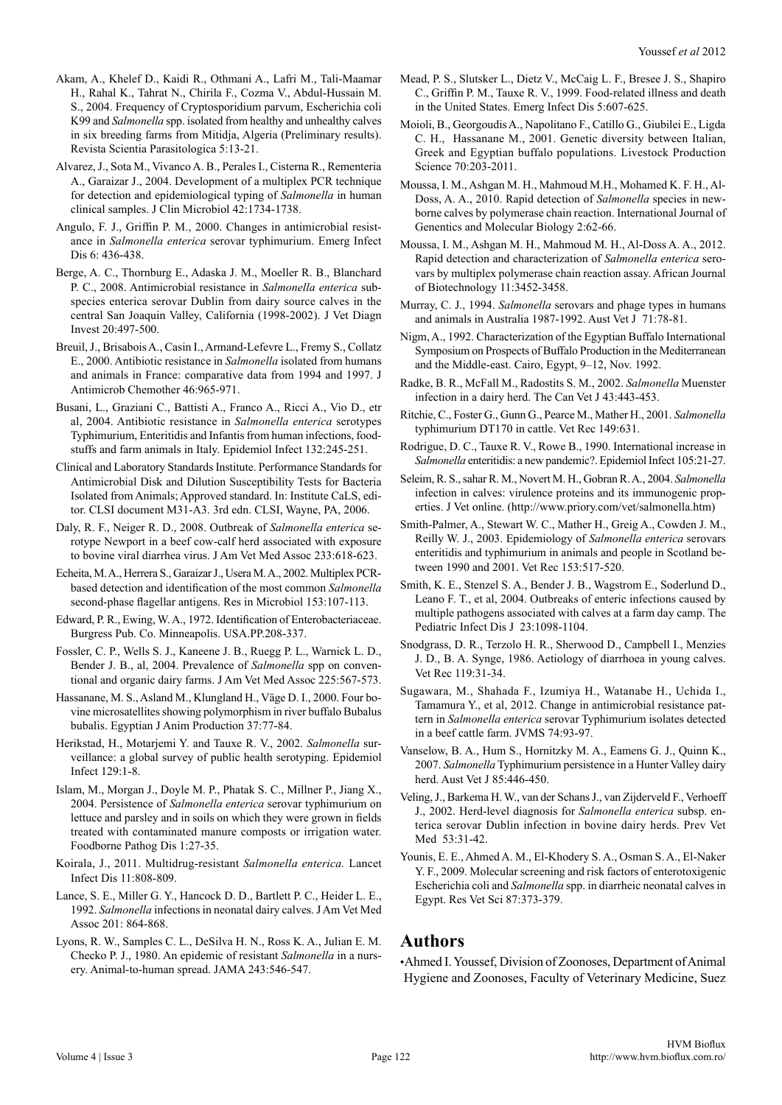- Akam, A., Khelef D., Kaidi R., Othmani A., Lafri M., Tali-Maamar H., Rahal K., Tahrat N., Chirila F., Cozma V., Abdul-Hussain M. S., 2004. Frequency of Cryptosporidium parvum, Escherichia coli K99 and *Salmonella* spp. isolated from healthy and unhealthy calves in six breeding farms from Mitidja, Algeria (Preliminary results). Revista Scientia Parasitologica 5:13-21.
- Alvarez, J., Sota M., Vivanco A. B., Perales I., Cisterna R., Rementeria A., Garaizar J., 2004. Development of a multiplex PCR technique for detection and epidemiological typing of *Salmonella* in human clinical samples. J Clin Microbiol 42:1734-1738.
- Angulo, F. J., Griffin P. M., 2000. Changes in antimicrobial resistance in *Salmonella enterica* serovar typhimurium. Emerg Infect Dis 6: 436-438.
- Berge, A. C., Thornburg E., Adaska J. M., Moeller R. B., Blanchard P. C., 2008. Antimicrobial resistance in *Salmonella enterica* subspecies enterica serovar Dublin from dairy source calves in the central San Joaquin Valley, California (1998-2002). J Vet Diagn Invest 20:497-500.
- Breuil, J., Brisabois A., Casin I., Armand-Lefevre L., Fremy S., Collatz E., 2000. Antibiotic resistance in *Salmonella* isolated from humans and animals in France: comparative data from 1994 and 1997. J Antimicrob Chemother 46:965-971.
- Busani, L., Graziani C., Battisti A., Franco A., Ricci A., Vio D., etr al, 2004. Antibiotic resistance in *Salmonella enterica* serotypes Typhimurium, Enteritidis and Infantis from human infections, foodstuffs and farm animals in Italy. Epidemiol Infect 132:245-251.
- Clinical and Laboratory Standards Institute. Performance Standards for Antimicrobial Disk and Dilution Susceptibility Tests for Bacteria Isolated from Animals; Approved standard. In: Institute CaLS, editor. CLSI document M31-A3. 3rd edn. CLSI, Wayne, PA, 2006.
- Daly, R. F., Neiger R. D., 2008. Outbreak of *Salmonella enterica* serotype Newport in a beef cow-calf herd associated with exposure to bovine viral diarrhea virus. J Am Vet Med Assoc 233:618-623.
- Echeita, M. A., Herrera S., Garaizar J., Usera M. A., 2002. Multiplex PCRbased detection and identification of the most common *Salmonella* second-phase flagellar antigens. Res in Microbiol 153:107-113.
- Edward, P. R., Ewing, W. A., 1972. Identification of Enterobacteriaceae. Burgress Pub. Co. Minneapolis. USA.PP.208-337.
- Fossler, C. P., Wells S. J., Kaneene J. B., Ruegg P. L., Warnick L. D., Bender J. B., al, 2004. Prevalence of *Salmonella* spp on conventional and organic dairy farms. J Am Vet Med Assoc 225:567-573.
- Hassanane, M. S., Asland M., Klungland H., Väge D. I., 2000. Four bovine microsatellites showing polymorphism in river buffalo Bubalus bubalis. Egyptian J Anim Production 37:77-84.
- Herikstad, H., Motarjemi Y. and Tauxe R. V., 2002. *Salmonella* surveillance: a global survey of public health serotyping. Epidemiol Infect 129:1-8.
- Islam, M., Morgan J., Doyle M. P., Phatak S. C., Millner P., Jiang X., 2004. Persistence of *Salmonella enterica* serovar typhimurium on lettuce and parsley and in soils on which they were grown in fields treated with contaminated manure composts or irrigation water. Foodborne Pathog Dis 1:27-35.
- Koirala, J., 2011. Multidrug-resistant *Salmonella enterica.* Lancet Infect Dis 11:808-809.
- Lance, S. E., Miller G. Y., Hancock D. D., Bartlett P. C., Heider L. E., 1992. *Salmonella* infections in neonatal dairy calves. J Am Vet Med Assoc 201: 864-868.
- Lyons, R. W., Samples C. L., DeSilva H. N., Ross K. A., Julian E. M. Checko P. J., 1980. An epidemic of resistant *Salmonella* in a nursery. Animal-to-human spread. JAMA 243:546-547.
- Mead, P. S., Slutsker L., Dietz V., McCaig L. F., Bresee J. S., Shapiro C., Griffin P. M., Tauxe R. V., 1999. Food-related illness and death in the United States. Emerg Infect Dis 5:607-625.
- Moioli, B., Georgoudis A., Napolitano F., Catillo G., Giubilei E., Ligda C. H., Hassanane M., 2001. Genetic diversity between Italian, Greek and Egyptian buffalo populations. Livestock Production Science 70:203-2011.
- Moussa, I. M., Ashgan M. H., Mahmoud M.H., Mohamed K. F. H., Al-Doss, A. A., 2010. Rapid detection of *Salmonella* species in newborne calves by polymerase chain reaction. International Journal of Genentics and Molecular Biology 2:62-66.
- Moussa, I. M., Ashgan M. H., Mahmoud M. H., Al-Doss A. A., 2012. Rapid detection and characterization of *Salmonella enterica* serovars by multiplex polymerase chain reaction assay. African Journal of Biotechnology 11:3452-3458.
- Murray, C. J., 1994. *Salmonella* serovars and phage types in humans and animals in Australia 1987-1992. Aust Vet J 71:78-81.
- Nigm, A., 1992. Characterization of the Egyptian Buffalo International Symposium on Prospects of Buffalo Production in the Mediterranean and the Middle-east. Cairo, Egypt, 9–12, Nov. 1992.
- Radke, B. R., McFall M., Radostits S. M., 2002. *Salmonella* Muenster infection in a dairy herd. The Can Vet J 43:443-453.
- Ritchie, C., Foster G., Gunn G., Pearce M., Mather H., 2001. *Salmonella* typhimurium DT170 in cattle. Vet Rec 149:631.
- Rodrigue, D. C., Tauxe R. V., Rowe B., 1990. International increase in *Salmonella* enteritidis: a new pandemic?. Epidemiol Infect 105:21-27.
- Seleim, R. S., sahar R. M., Novert M. H., Gobran R. A., 2004. *Salmonella* infection in calves: virulence proteins and its immunogenic properties. J Vet online. (http://www.priory.com/vet/salmonella.htm)
- Smith-Palmer, A., Stewart W. C., Mather H., Greig A., Cowden J. M., Reilly W. J., 2003. Epidemiology of *Salmonella enterica* serovars enteritidis and typhimurium in animals and people in Scotland between 1990 and 2001. Vet Rec 153:517-520.
- Smith, K. E., Stenzel S. A., Bender J. B., Wagstrom E., Soderlund D., Leano F. T., et al, 2004. Outbreaks of enteric infections caused by multiple pathogens associated with calves at a farm day camp. The Pediatric Infect Dis J 23:1098-1104.
- Snodgrass, D. R., Terzolo H. R., Sherwood D., Campbell I., Menzies J. D., B. A. Synge, 1986. Aetiology of diarrhoea in young calves. Vet Rec 119:31-34.
- Sugawara, M., Shahada F., Izumiya H., Watanabe H., Uchida I., Tamamura Y., et al, 2012. Change in antimicrobial resistance pattern in *Salmonella enterica* serovar Typhimurium isolates detected in a beef cattle farm. JVMS 74:93-97.
- Vanselow, B. A., Hum S., Hornitzky M. A., Eamens G. J., Quinn K., 2007. *Salmonella* Typhimurium persistence in a Hunter Valley dairy herd. Aust Vet J 85:446-450.
- Veling, J., Barkema H. W., van der Schans J., van Zijderveld F., Verhoeff J., 2002. Herd-level diagnosis for *Salmonella enterica* subsp. enterica serovar Dublin infection in bovine dairy herds. Prev Vet Med 53:31-42.
- Younis, E. E., Ahmed A. M., El-Khodery S. A., Osman S. A., El-Naker Y. F., 2009. Molecular screening and risk factors of enterotoxigenic Escherichia coli and *Salmonella* spp. in diarrheic neonatal calves in Egypt. Res Vet Sci 87:373-379.

## **Authors**

•Ahmed I. Youssef, Division of Zoonoses, Department of Animal Hygiene and Zoonoses, Faculty of Veterinary Medicine, Suez